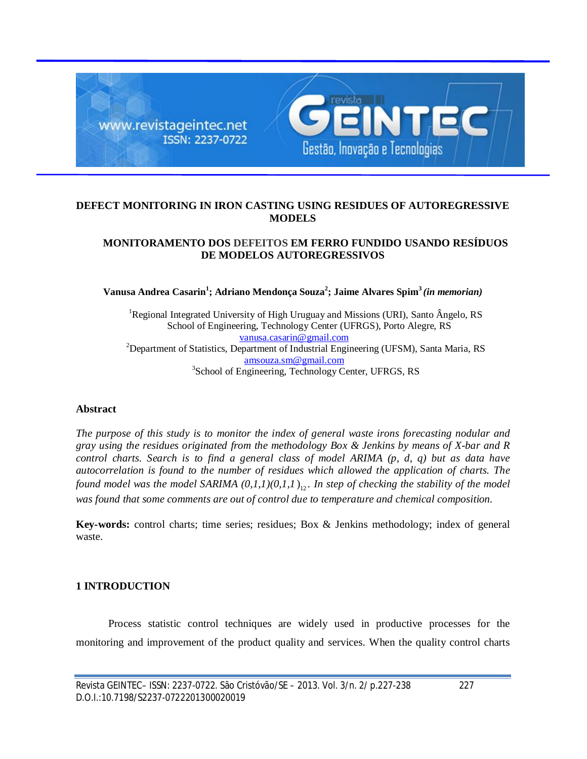

## **DEFECT MONITORING IN IRON CASTING USING RESIDUES OF AUTOREGRESSIVE MODELS**

## **MONITORAMENTO DOS DEFEITOS EM FERRO FUNDIDO USANDO RESÍDUOS DE MODELOS AUTOREGRESSIVOS**

**Vanusa Andrea Casarin<sup>1</sup> ; Adriano Mendonça Souza<sup>2</sup> ; Jaime Alvares Spim<sup>3</sup>** *(in memorian)*

<sup>1</sup>Regional Integrated University of High Uruguay and Missions (URI), Santo Ângelo, RS School of Engineering, Technology Center (UFRGS), Porto Alegre, RS vanusa.casarin@gmail.com <sup>2</sup>Department of Statistics, Department of Industrial Engineering (UFSM), Santa Maria, RS amsouza.sm@gmail.com <sup>3</sup>School of Engineering, Technology Center, UFRGS, RS

### **Abstract**

*The purpose of this study is to monitor the index of general waste irons forecasting nodular and gray using the residues originated from the methodology Box & Jenkins by means of X-bar and R control charts. Search is to find a general class of model ARIMA (p, d, q) but as data have autocorrelation is found to the number of residues which allowed the application of charts. The found model was the model SARIMA*  $(0,1,1)(0,1,1)$ <sup>1</sup>, *In step of checking the stability of the model was found that some comments are out of control due to temperature and chemical composition.*

**Key-words:** control charts; time series; residues; Box & Jenkins methodology; index of general waste.

## **1 INTRODUCTION**

Process statistic control techniques are widely used in productive processes for the monitoring and improvement of the product quality and services. When the quality control charts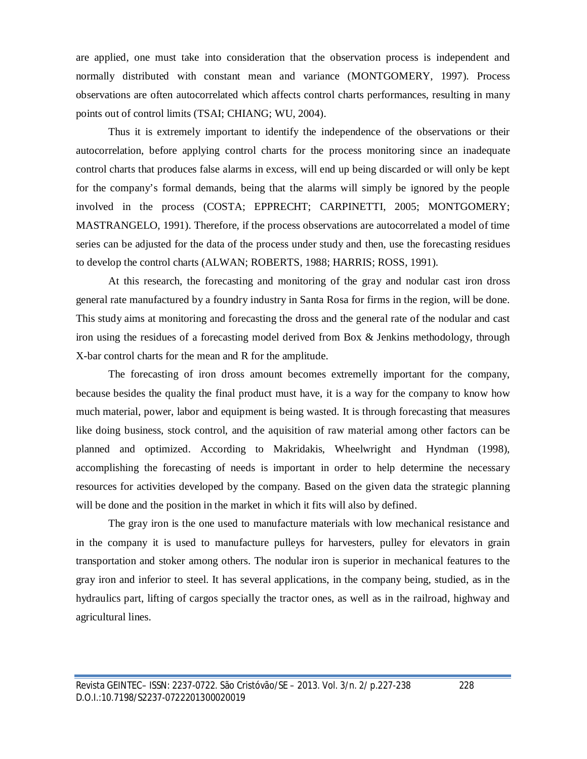are applied, one must take into consideration that the observation process is independent and normally distributed with constant mean and variance (MONTGOMERY, 1997). Process observations are often autocorrelated which affects control charts performances, resulting in many points out of control limits (TSAI; CHIANG; WU, 2004).

Thus it is extremely important to identify the independence of the observations or their autocorrelation, before applying control charts for the process monitoring since an inadequate control charts that produces false alarms in excess, will end up being discarded or will only be kept for the company's formal demands, being that the alarms will simply be ignored by the people involved in the process (COSTA; EPPRECHT; CARPINETTI, 2005; MONTGOMERY; MASTRANGELO, 1991). Therefore, if the process observations are autocorrelated a model of time series can be adjusted for the data of the process under study and then, use the forecasting residues to develop the control charts (ALWAN; ROBERTS, 1988; HARRIS; ROSS, 1991).

At this research, the forecasting and monitoring of the gray and nodular cast iron dross general rate manufactured by a foundry industry in Santa Rosa for firms in the region, will be done. This study aims at monitoring and forecasting the dross and the general rate of the nodular and cast iron using the residues of a forecasting model derived from Box & Jenkins methodology, through X-bar control charts for the mean and R for the amplitude.

The forecasting of iron dross amount becomes extremelly important for the company, because besides the quality the final product must have, it is a way for the company to know how much material, power, labor and equipment is being wasted. It is through forecasting that measures like doing business, stock control, and the aquisition of raw material among other factors can be planned and optimized. According to Makridakis, Wheelwright and Hyndman (1998), accomplishing the forecasting of needs is important in order to help determine the necessary resources for activities developed by the company. Based on the given data the strategic planning will be done and the position in the market in which it fits will also by defined.

The gray iron is the one used to manufacture materials with low mechanical resistance and in the company it is used to manufacture pulleys for harvesters, pulley for elevators in grain transportation and stoker among others. The nodular iron is superior in mechanical features to the gray iron and inferior to steel. It has several applications, in the company being, studied, as in the hydraulics part, lifting of cargos specially the tractor ones, as well as in the railroad, highway and agricultural lines.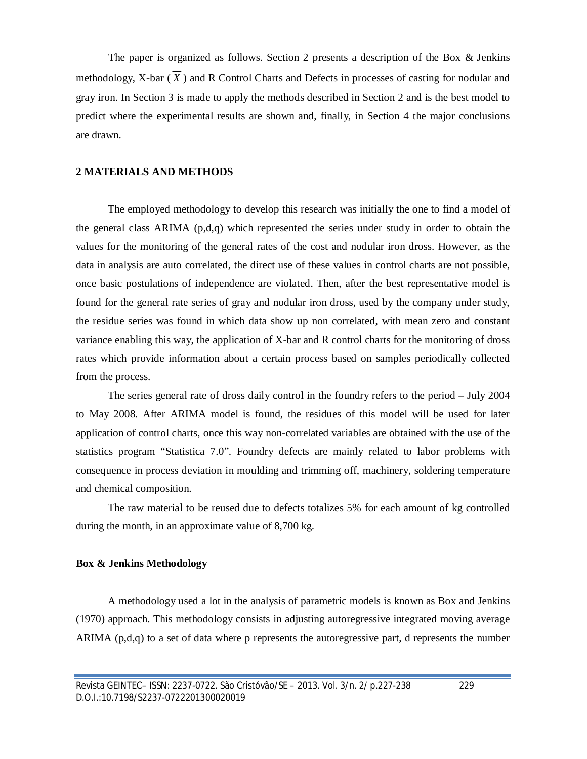The paper is organized as follows. Section 2 presents a description of the Box & Jenkins methodology, X-bar  $(X)$  and R Control Charts and Defects in processes of casting for nodular and gray iron. In Section 3 is made to apply the methods described in Section 2 and is the best model to predict where the experimental results are shown and, finally, in Section 4 the major conclusions are drawn.

### **2 MATERIALS AND METHODS**

The employed methodology to develop this research was initially the one to find a model of the general class ARIMA (p,d,q) which represented the series under study in order to obtain the values for the monitoring of the general rates of the cost and nodular iron dross. However, as the data in analysis are auto correlated, the direct use of these values in control charts are not possible, once basic postulations of independence are violated. Then, after the best representative model is found for the general rate series of gray and nodular iron dross, used by the company under study, the residue series was found in which data show up non correlated, with mean zero and constant variance enabling this way, the application of X-bar and R control charts for the monitoring of dross rates which provide information about a certain process based on samples periodically collected from the process.

The series general rate of dross daily control in the foundry refers to the period – July 2004 to May 2008. After ARIMA model is found, the residues of this model will be used for later application of control charts, once this way non-correlated variables are obtained with the use of the statistics program "Statistica 7.0". Foundry defects are mainly related to labor problems with consequence in process deviation in moulding and trimming off, machinery, soldering temperature and chemical composition.

The raw material to be reused due to defects totalizes 5% for each amount of kg controlled during the month, in an approximate value of 8,700 kg.

#### **Box & Jenkins Methodology**

A methodology used a lot in the analysis of parametric models is known as Box and Jenkins (1970) approach. This methodology consists in adjusting autoregressive integrated moving average ARIMA (p,d,q) to a set of data where p represents the autoregressive part, d represents the number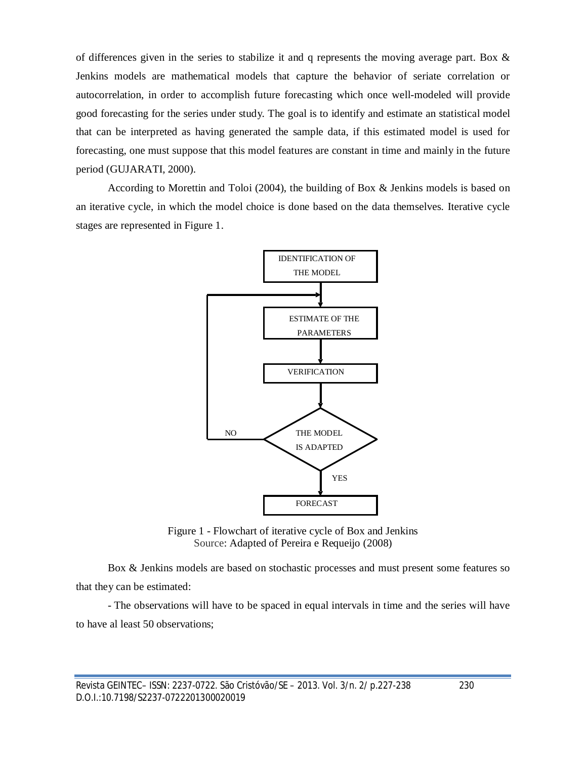of differences given in the series to stabilize it and q represents the moving average part. Box  $\&$ Jenkins models are mathematical models that capture the behavior of seriate correlation or autocorrelation, in order to accomplish future forecasting which once well-modeled will provide good forecasting for the series under study. The goal is to identify and estimate an statistical model that can be interpreted as having generated the sample data, if this estimated model is used for forecasting, one must suppose that this model features are constant in time and mainly in the future period (GUJARATI, 2000).

According to Morettin and Toloi (2004), the building of Box & Jenkins models is based on an iterative cycle, in which the model choice is done based on the data themselves. Iterative cycle stages are represented in Figure 1.



Figure 1 - Flowchart of iterative cycle of Box and Jenkins Source: Adapted of Pereira e Requeijo (2008)

Box & Jenkins models are based on stochastic processes and must present some features so that they can be estimated:

- The observations will have to be spaced in equal intervals in time and the series will have to have al least 50 observations;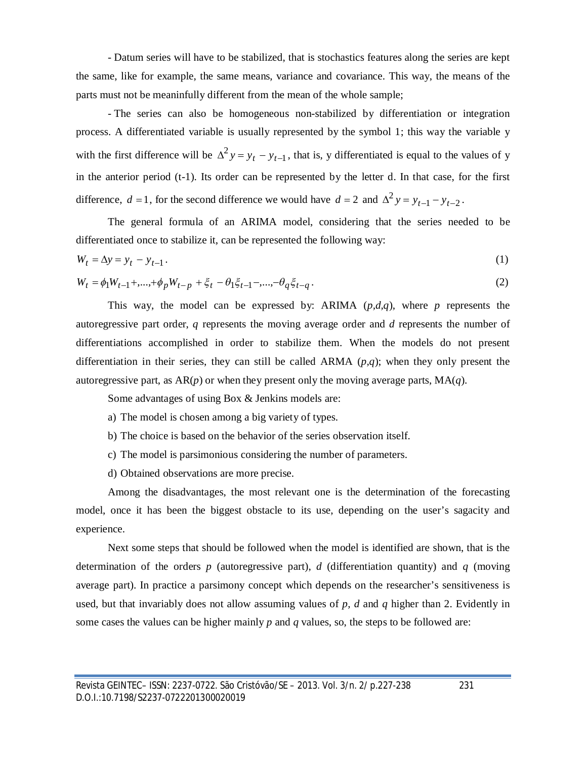- Datum series will have to be stabilized, that is stochastics features along the series are kept the same, like for example, the same means, variance and covariance. This way, the means of the parts must not be meaninfully different from the mean of the whole sample;

- The series can also be homogeneous non-stabilized by differentiation or integration process. A differentiated variable is usually represented by the symbol 1; this way the variable y with the first difference will be  $\Delta^2 y = y_t - y_{t-1}$ , that is, y differentiated is equal to the values of y in the anterior period (t-1). Its order can be represented by the letter d. In that case, for the first difference,  $d = 1$ , for the second difference we would have  $d = 2$  and  $\Delta^2 y = y_{t-1} - y_{t-2}$ .

The general formula of an ARIMA model, considering that the series needed to be differentiated once to stabilize it, can be represented the following way:

$$
W_t = \Delta y = y_t - y_{t-1} \tag{1}
$$

$$
W_t = \phi_1 W_{t-1} + \dots + \phi_p W_{t-p} + \xi_t - \theta_1 \xi_{t-1} - \dots - \theta_q \xi_{t-q}.
$$
\n<sup>(2)</sup>

This way, the model can be expressed by: ARIMA (*p,d,q*), where *p* represents the autoregressive part order, *q* represents the moving average order and *d* represents the number of differentiations accomplished in order to stabilize them. When the models do not present differentiation in their series, they can still be called ARMA  $(p,q)$ ; when they only present the autoregressive part, as  $AR(p)$  or when they present only the moving average parts,  $MA(q)$ .

Some advantages of using Box & Jenkins models are:

a) The model is chosen among a big variety of types.

- b) The choice is based on the behavior of the series observation itself.
- c) The model is parsimonious considering the number of parameters.

d) Obtained observations are more precise.

Among the disadvantages, the most relevant one is the determination of the forecasting model, once it has been the biggest obstacle to its use, depending on the user's sagacity and experience.

Next some steps that should be followed when the model is identified are shown, that is the determination of the orders *p* (autoregressive part), *d* (differentiation quantity) and *q* (moving average part). In practice a parsimony concept which depends on the researcher's sensitiveness is used, but that invariably does not allow assuming values of *p, d* and *q* higher than 2. Evidently in some cases the values can be higher mainly *p* and *q* values, so, the steps to be followed are: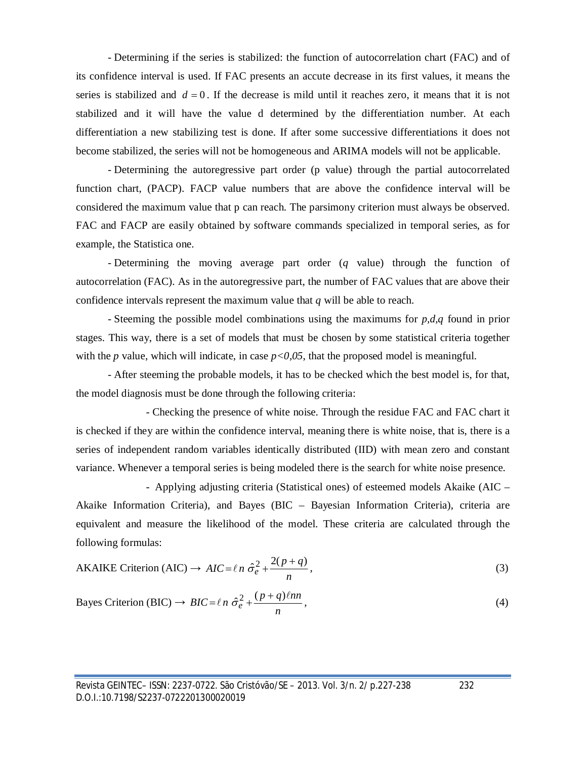- Determining if the series is stabilized: the function of autocorrelation chart (FAC) and of its confidence interval is used. If FAC presents an accute decrease in its first values, it means the series is stabilized and  $d = 0$ . If the decrease is mild until it reaches zero, it means that it is not stabilized and it will have the value d determined by the differentiation number. At each differentiation a new stabilizing test is done. If after some successive differentiations it does not become stabilized, the series will not be homogeneous and ARIMA models will not be applicable.

- Determining the autoregressive part order (p value) through the partial autocorrelated function chart, (PACP). FACP value numbers that are above the confidence interval will be considered the maximum value that p can reach. The parsimony criterion must always be observed. FAC and FACP are easily obtained by software commands specialized in temporal series, as for example, the Statistica one.

- Determining the moving average part order (*q* value) through the function of autocorrelation (FAC). As in the autoregressive part, the number of FAC values that are above their confidence intervals represent the maximum value that *q* will be able to reach.

- Steeming the possible model combinations using the maximums for *p,d,q* found in prior stages. This way, there is a set of models that must be chosen by some statistical criteria together with the *p* value, which will indicate, in case  $p<0.05$ , that the proposed model is meaningful.

- After steeming the probable models, it has to be checked which the best model is, for that, the model diagnosis must be done through the following criteria:

- Checking the presence of white noise. Through the residue FAC and FAC chart it is checked if they are within the confidence interval, meaning there is white noise, that is, there is a series of independent random variables identically distributed (IID) with mean zero and constant variance. Whenever a temporal series is being modeled there is the search for white noise presence.

- Applying adjusting criteria (Statistical ones) of esteemed models Akaike (AIC – Akaike Information Criteria), and Bayes (BIC – Bayesian Information Criteria), criteria are equivalent and measure the likelihood of the model. These criteria are calculated through the following formulas:

AKAIKE Criterion (AIC) 
$$
\rightarrow AIC = \ell n \frac{\partial^2}{\partial \ell} + \frac{2(p+q)}{n}
$$
, (3)

Bayes Criterion (BIC) 
$$
\rightarrow BIC = \ell n \hat{\sigma}_e^2 + \frac{(p+q)\ell nn}{n}
$$
, (4)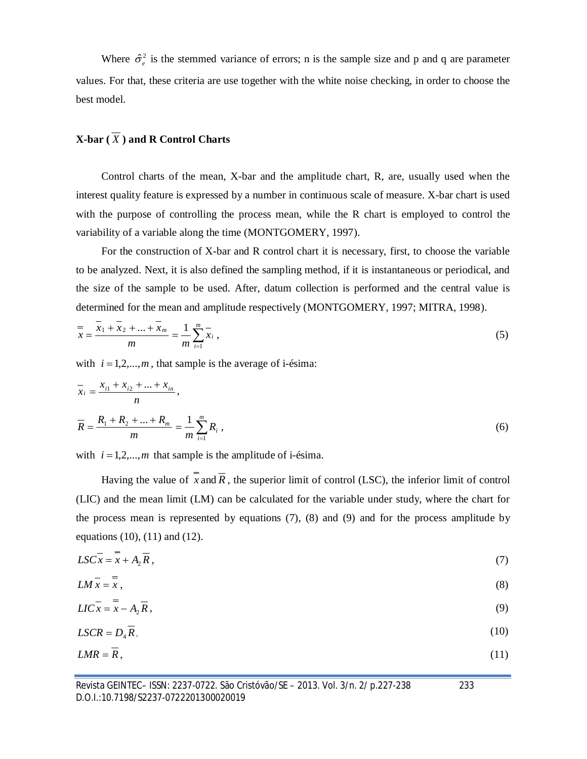Where  $\hat{\sigma}_{e}^{2}$  is the stemmed variance of errors; n is the sample size and p and q are parameter values. For that, these criteria are use together with the white noise checking, in order to choose the best model.

# **X-bar**  $(\overline{X})$  and **R** Control Charts

Control charts of the mean, X-bar and the amplitude chart, R, are, usually used when the interest quality feature is expressed by a number in continuous scale of measure. X-bar chart is used with the purpose of controlling the process mean, while the R chart is employed to control the variability of a variable along the time (MONTGOMERY, 1997).

For the construction of X-bar and R control chart it is necessary, first, to choose the variable to be analyzed. Next, it is also defined the sampling method, if it is instantaneous or periodical, and the size of the sample to be used. After, datum collection is performed and the central value is determined for the mean and amplitude respectively (MONTGOMERY, 1997; MITRA, 1998).

$$
\frac{y}{x} = \frac{x_1 + x_2 + \dots + x_m}{m} = \frac{1}{m} \sum_{i=1}^{m} \overline{x}_i,
$$
\n(5)

with  $i = 1,2,...,m$ , that sample is the average of i-ésima:

$$
\overline{x}_i = \frac{x_{i1} + x_{i2} + \dots + x_{in}}{n},
$$
\n
$$
\overline{R} = \frac{R_1 + R_2 + \dots + R_m}{m} = \frac{1}{m} \sum_{i=1}^m R_i,
$$
\n(6)

with  $i = 1,2,...,m$  that sample is the amplitude of i-ésima.

Having the value of  $\bar{x}$  and  $\bar{R}$ , the superior limit of control (LSC), the inferior limit of control (LIC) and the mean limit (LM) can be calculated for the variable under study, where the chart for the process mean is represented by equations (7), (8) and (9) and for the process amplitude by equations (10), (11) and (12).

$$
LSCx = x + A_2 R, \tag{7}
$$

$$
LM\bar{x} = \bar{x},\tag{8}
$$

$$
LIC\bar{x} = \bar{x} - A_2 \bar{R}, \qquad (9)
$$

$$
LSCR = D_4 \overline{R},\tag{10}
$$

$$
LMR = R, \tag{11}
$$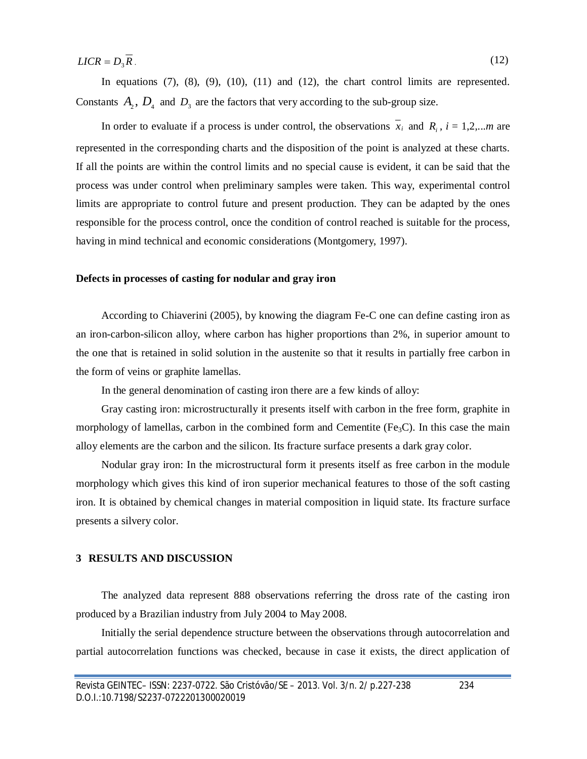$LICR = D_3 \overline{R}$ . (12)

In equations  $(7)$ ,  $(8)$ ,  $(9)$ ,  $(10)$ ,  $(11)$  and  $(12)$ , the chart control limits are represented. Constants  $A_2$ ,  $D_4$  and  $D_3$  are the factors that very according to the sub-group size.

In order to evaluate if a process is under control, the observations  $x_i$  and  $R_i$ ,  $i = 1,2,...m$  are represented in the corresponding charts and the disposition of the point is analyzed at these charts. If all the points are within the control limits and no special cause is evident, it can be said that the process was under control when preliminary samples were taken. This way, experimental control limits are appropriate to control future and present production. They can be adapted by the ones responsible for the process control, once the condition of control reached is suitable for the process, having in mind technical and economic considerations (Montgomery, 1997).

### **Defects in processes of casting for nodular and gray iron**

According to Chiaverini (2005), by knowing the diagram Fe-C one can define casting iron as an iron-carbon-silicon alloy, where carbon has higher proportions than 2%, in superior amount to the one that is retained in solid solution in the austenite so that it results in partially free carbon in the form of veins or graphite lamellas.

In the general denomination of casting iron there are a few kinds of alloy:

Gray casting iron: microstructurally it presents itself with carbon in the free form, graphite in morphology of lamellas, carbon in the combined form and Cementite (Fe<sub>3</sub>C). In this case the main alloy elements are the carbon and the silicon. Its fracture surface presents a dark gray color.

Nodular gray iron: In the microstructural form it presents itself as free carbon in the module morphology which gives this kind of iron superior mechanical features to those of the soft casting iron. It is obtained by chemical changes in material composition in liquid state. Its fracture surface presents a silvery color.

### **3 RESULTS AND DISCUSSION**

The analyzed data represent 888 observations referring the dross rate of the casting iron produced by a Brazilian industry from July 2004 to May 2008.

Initially the serial dependence structure between the observations through autocorrelation and partial autocorrelation functions was checked, because in case it exists, the direct application of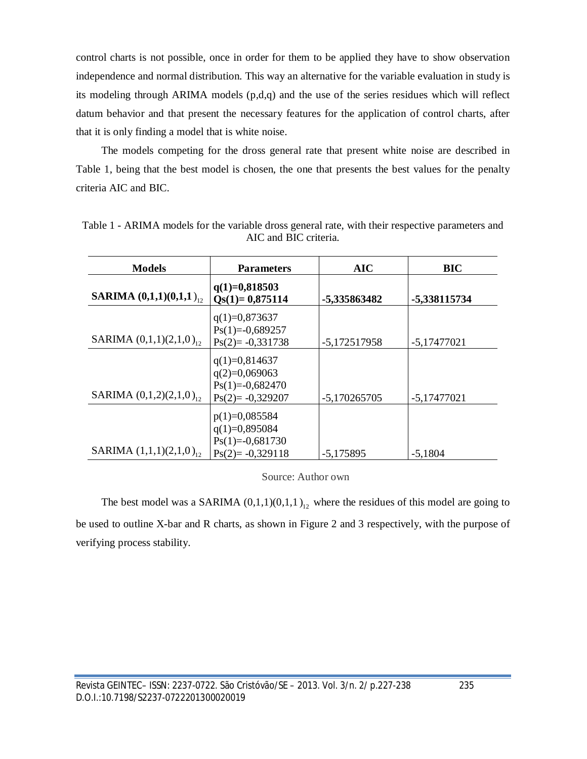control charts is not possible, once in order for them to be applied they have to show observation independence and normal distribution. This way an alternative for the variable evaluation in study is its modeling through ARIMA models (p,d,q) and the use of the series residues which will reflect datum behavior and that present the necessary features for the application of control charts, after that it is only finding a model that is white noise.

The models competing for the dross general rate that present white noise are described in Table 1, being that the best model is chosen, the one that presents the best values for the penalty criteria AIC and BIC.

| <b>Models</b>                         | <b>Parameters</b>                                                            | <b>AIC</b>     | <b>BIC</b>    |
|---------------------------------------|------------------------------------------------------------------------------|----------------|---------------|
| <b>SARIMA</b> $(0,1,1)(0,1,1)_{12}$   | $q(1)=0,818503$<br>$Qs(1)=0,875114$                                          | -5,335863482   | -5,338115734  |
| SARIMA $(0,1,1)(2,1,0)$ <sub>12</sub> | $q(1)=0,873637$<br>$Ps(1)=0,689257$<br>$Ps(2)= -0,331738$                    | $-5,172517958$ | $-5,17477021$ |
| SARIMA $(0,1,2)(2,1,0)$ <sub>12</sub> | $q(1)=0,814637$<br>$q(2)=0,069063$<br>$Ps(1)=0,682470$<br>$Ps(2)= -0,329207$ | $-5,170265705$ | $-5,17477021$ |
| SARIMA $(1,1,1)(2,1,0)$ <sub>12</sub> | $p(1)=0,085584$<br>$q(1)=0,895084$<br>$Ps(1)=0,681730$<br>$Ps(2)= -0,329118$ | $-5,175895$    | $-5,1804$     |

Table 1 - ARIMA models for the variable dross general rate, with their respective parameters and AIC and BIC criteria.

Source: Author own

The best model was a SARIMA  $(0,1,1)(0,1,1)_{12}$  where the residues of this model are going to be used to outline X-bar and R charts, as shown in Figure 2 and 3 respectively, with the purpose of verifying process stability.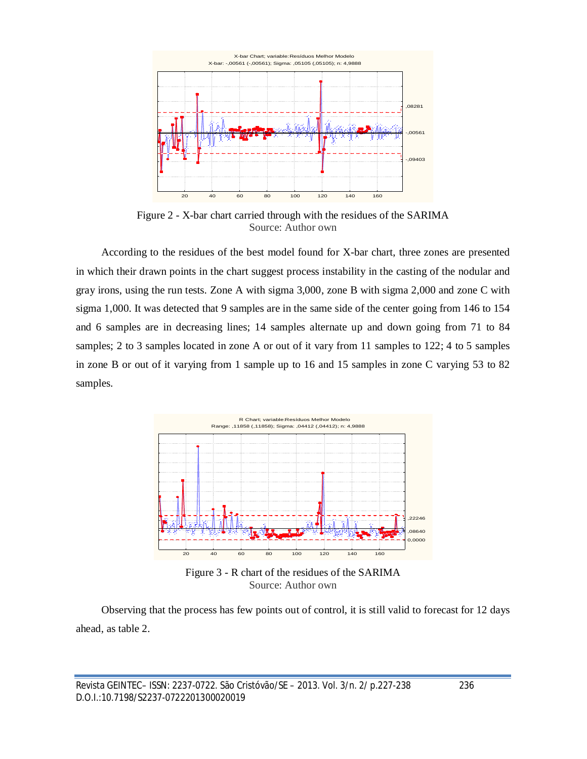

Figure 2 - X-bar chart carried through with the residues of the SARIMA Source: Author own

According to the residues of the best model found for X-bar chart, three zones are presented in which their drawn points in the chart suggest process instability in the casting of the nodular and gray irons, using the run tests. Zone A with sigma 3,000, zone B with sigma 2,000 and zone C with sigma 1,000. It was detected that 9 samples are in the same side of the center going from 146 to 154 and 6 samples are in decreasing lines; 14 samples alternate up and down going from 71 to 84 samples; 2 to 3 samples located in zone A or out of it vary from 11 samples to 122; 4 to 5 samples in zone B or out of it varying from 1 sample up to 16 and 15 samples in zone C varying 53 to 82 samples.



Figure 3 - R chart of the residues of the SARIMA Source: Author own

Observing that the process has few points out of control, it is still valid to forecast for 12 days ahead, as table 2.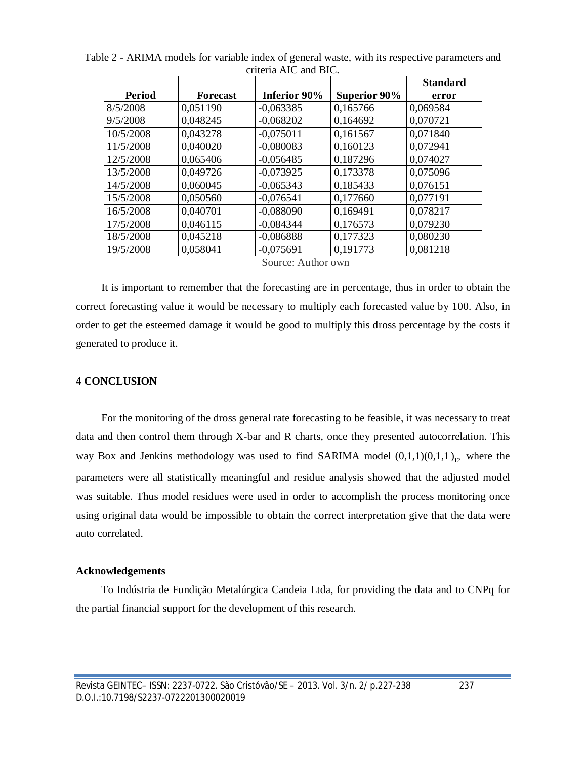|                    |                 |                     |                     | <b>Standard</b> |  |  |
|--------------------|-----------------|---------------------|---------------------|-----------------|--|--|
| <b>Period</b>      | <b>Forecast</b> | <b>Inferior 90%</b> | <b>Superior 90%</b> | error           |  |  |
| 8/5/2008           | 0.051190        | $-0.063385$         | 0,165766            | 0.069584        |  |  |
| 9/5/2008           | 0,048245        | $-0,068202$         | 0,164692            | 0,070721        |  |  |
| 10/5/2008          | 0,043278        | $-0.075011$         | 0,161567            | 0.071840        |  |  |
| 11/5/2008          | 0,040020        | $-0.080083$         | 0,160123            | 0,072941        |  |  |
| 12/5/2008          | 0,065406        | $-0.056485$         | 0,187296            | 0,074027        |  |  |
| 13/5/2008          | 0,049726        | $-0.073925$         | 0,173378            | 0.075096        |  |  |
| 14/5/2008          | 0.060045        | $-0.065343$         | 0,185433            | 0.076151        |  |  |
| 15/5/2008          | 0,050560        | $-0.076541$         | 0,177660            | 0,077191        |  |  |
| 16/5/2008          | 0,040701        | $-0.088090$         | 0,169491            | 0,078217        |  |  |
| 17/5/2008          | 0,046115        | $-0.084344$         | 0,176573            | 0.079230        |  |  |
| 18/5/2008          | 0,045218        | $-0,086888$         | 0,177323            | 0.080230        |  |  |
| 19/5/2008          | 0.058041        | $-0.075691$         | 0,191773            | 0.081218        |  |  |
| Source: Author own |                 |                     |                     |                 |  |  |

Table 2 - ARIMA models for variable index of general waste, with its respective parameters and criteria AIC and BIC.

It is important to remember that the forecasting are in percentage, thus in order to obtain the correct forecasting value it would be necessary to multiply each forecasted value by 100. Also, in order to get the esteemed damage it would be good to multiply this dross percentage by the costs it generated to produce it.

## **4 CONCLUSION**

For the monitoring of the dross general rate forecasting to be feasible, it was necessary to treat data and then control them through X-bar and R charts, once they presented autocorrelation. This way Box and Jenkins methodology was used to find SARIMA model  $(0,1,1)(0,1,1)_{12}$  where the parameters were all statistically meaningful and residue analysis showed that the adjusted model was suitable. Thus model residues were used in order to accomplish the process monitoring once using original data would be impossible to obtain the correct interpretation give that the data were auto correlated.

### **Acknowledgements**

To Indústria de Fundição Metalúrgica Candeia Ltda, for providing the data and to CNPq for the partial financial support for the development of this research.